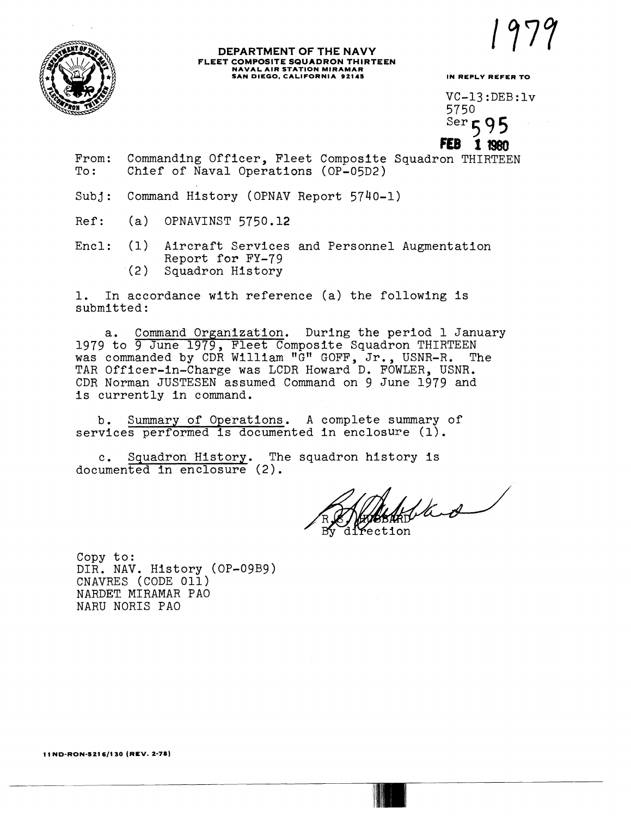

## **DEPARTMENT OF THE NAVY**<br>**FLEET COMPOSITE SQUADRON THIRTEEN FLEET COMPOSITE SQUADRON THIRTEEN NAVAL AIR STATION MIRAMAR SAN DIEGO, CALIFORNIA 92111 IN REPLY REFER TO**

 $VC-13:DEB:lv$ 5750  $Ser$  $595$ 

1 1980

From: Commanding Officer, Fleet Composite Squadron THIRTEEN<br>To: Chief of Naval Operations (OP-05D2) Chief of Naval Operations (OP-05D2)

Subj: Command History (OPNAV Report 5740-1)

Ref: (a) OPNAVINST 5750.12

Encl: (1) Aircraft Services and Personnel Augmentation Report for FY-79 (2 ) Squadron History

1. In accordance with reference (a) the following is submitted :

a. Command Organization. During the period 1 January 1979 to 9 June 1979, Fleet Composite Squadron THIRTEEN was commanded by CDR William "G" GOFF, Jr., USNR-R. The TAR Officer-in-Charge was LCDR Howard D. FOWLER, USNR. CDR Norman JUSTESEN assumed Command on 9 June 1979 and is currently in command.

b. Summary of Operations. A complete summary of services performed is documented in enclosure (1).

c. Squadron History. The squadron history is documented in enclosure (2).

fled

Copy to: DIR. NAV. History (OP-09B9) CNAVRES (CODE 011) NARDET. MIRAMAR PA0 NARU NORIS PA0

**11 ND-RON-1216/130 (REV. 2-78)**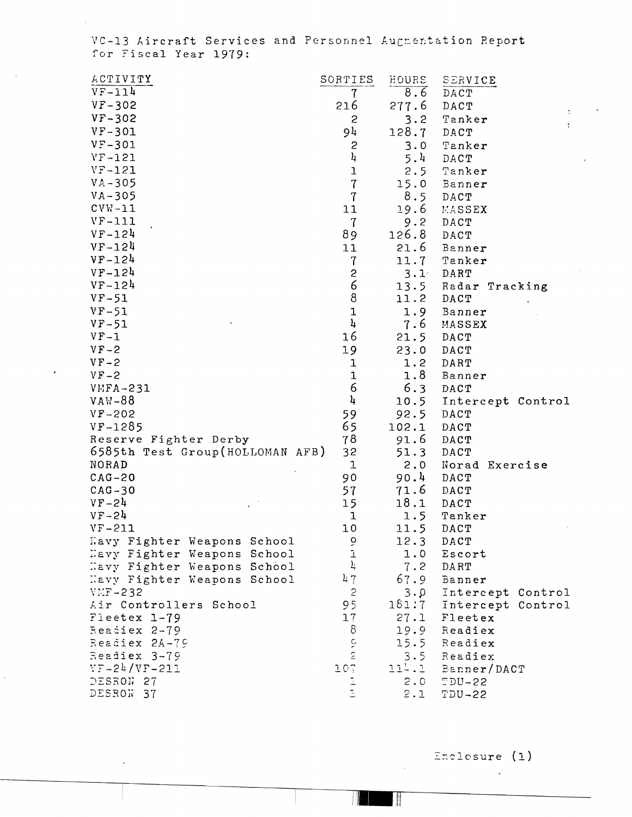VC-13 Aircraft Services and Personnel Augmentation Report for Fiscal Year 1979:

| <b>ACTIVITY</b>                 | SORTIES               | HOURS          | SERVICE                        |
|---------------------------------|-----------------------|----------------|--------------------------------|
| $VF-114$                        | 7                     | 8.6            | DACT                           |
| $VF - 302$                      | 216                   | 277.6          | DACT                           |
| $VF - 302$                      | $\mathbf{c}$          | 3.2            | $\ddot{\phantom{a}}$<br>Tanker |
| $VF-301$                        | 94                    | 128.7          | ÷<br>DACT                      |
| $VF - 301$                      | $\mathbf{S}$          | 3.0            | Tanker                         |
| $VF-121$                        | 4                     | 5.4            | DACT                           |
| $VF-121$                        | $\mathbf 1$           | 2.5            | Tanker                         |
| $VA - 305$                      | $\overline{7}$        | 15.0           | Banner                         |
| $VA-305$                        | $\overline{1}$        | 8.5            | DACT                           |
| $CVM-11$                        | 11                    | 19.6           | MASSEX                         |
| $VF-111$                        | $\mathbf 7$           | 9.2            | DACT                           |
| $VF-124$                        | 89                    | 126.8          | DACT                           |
| $VF-124$                        | 11                    | 21.6           | Banner                         |
| $VF-124$                        | $\mathbf 7$           | 11.7           | Tanker                         |
| $VF-124$                        | $\mathbf{S}$          | $3 \cdot 1$    | DART                           |
| $VF - 124$                      | 6                     | 13.5           | Radar Tracking                 |
| $VF-51$                         | $\bf8$                | 11.2           | DACT                           |
| $VF-51$                         | $\mathbf 1$           | 1.9            | Banner                         |
| $VF-51$                         | 4                     | 7.6            | MASSEX                         |
| $VF-1$                          | 16                    | 21.5           | DACT                           |
| $VF-2$                          | 19                    | 23.0           | DACT                           |
| $VF-2$                          | $\mathbf 1$           | 1.2            | DART                           |
| $VF-2$                          | $\mathbf{1}$          | 1.8            | Banner                         |
| $VMFA-231$                      | 6                     | 6.3            | DACT                           |
| $VAW-88$                        | 4                     | 10.5           | Intercept Control              |
| $VF - 202$                      | 59                    | 92.5           | DACT                           |
| $VF-1285$                       | 65                    | 102.1          | DACT                           |
| Reserve Fighter Derby           | 78                    | 91.6           | DACT                           |
| 6585th Test Group(HOLLOMAN AFB) | 32                    | 51.3           | DACT                           |
| <b>NORAD</b>                    | 1                     | 2.0            | Norad Exercise                 |
| $CAG-20$                        | 90                    | 90.4           | DACT                           |
| $CAG-30$                        | 57                    | 71.6           | DACT                           |
| $VF-24$                         | 15                    | 18.1           | DACT                           |
| $VF-24$                         | 1                     | 1.5            | Tanker                         |
| $VF-211$                        | 10                    | 11.5           | DACT                           |
| Kavy Fighter Weapons School     |                       | 12.3           | DACT                           |
| Havy Fighter Weapons School     | いコド                   | 1.0            | Escort                         |
| Havy Fighter Weapons School     |                       | 7.2            | DART                           |
| Havy Fighter Weapons School     | 47                    | 67.9           | Banner                         |
| $VFF - 232$                     | $\mathbf{c}$          | $3 \cdot \rho$ | Intercept Control              |
| Air Controllers School          | 95                    | 181:7          | Intercept Control              |
| Fleetex 1-79                    | 17                    | 27.1           | Fleetex                        |
| Readiex 2-79                    | 8                     | 19.9           | Readiex                        |
| Readiex 2A-79                   | $\tilde{\mathcal{C}}$ | 15.5           | Readiex                        |
| Readiex 3-79                    | $\tilde{\epsilon}$    | 3.5            | Readiex                        |
| $VF-24/VF-211$                  | 107                   | 114.1          | Banner/DACT                    |
| DESRON 27                       |                       | 2.0            | $TDU-22$                       |
| DESROW 37                       |                       | 2.1            | <b>TDU-22</b>                  |

Enclosure (1)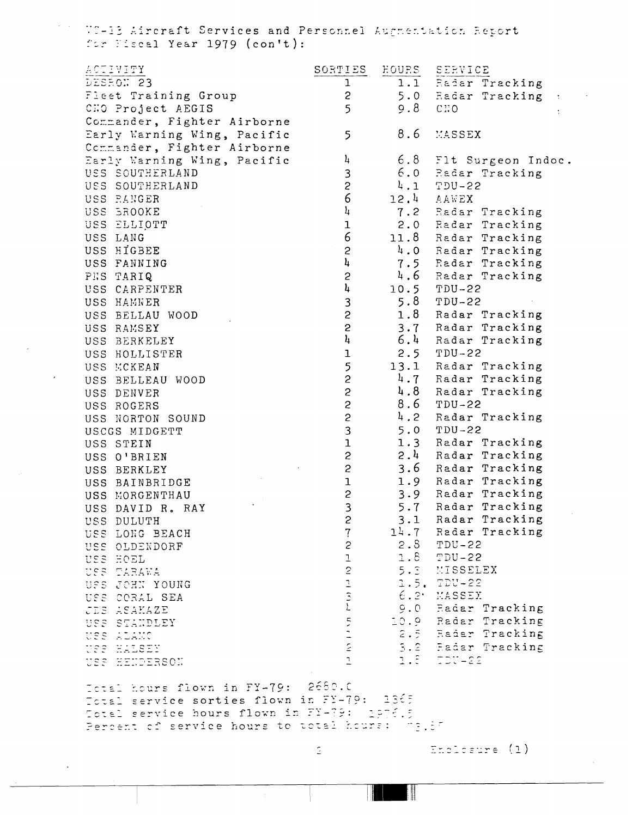WC-13 Aircraft Services and Personnel Auguentation Report for Fiscal Year 1979 (con't):

| ACTIVITY                                                                         | SORTIES                          | EOURS | SERVICE                                  |  |
|----------------------------------------------------------------------------------|----------------------------------|-------|------------------------------------------|--|
| DESRON 23                                                                        | $\mathbf 1$                      |       | 1.1 Radar Tracking                       |  |
| Fleet Training Group                                                             | $\mathbf{S}$                     |       | 5.0 Radar Tracking<br>$\sim 10$          |  |
| CHO Project AEGIS                                                                | 5                                | 9.8   | CHO                                      |  |
| Commander, Fighter Airborne                                                      |                                  |       |                                          |  |
| Early Warning Wing, Pacific                                                      | 5                                | 8.6   | MASSEX                                   |  |
| Commander, Fighter Airborne                                                      |                                  |       |                                          |  |
| Early Warning Wing, Pacific                                                      | 4                                |       | 6.8 Flt Surgeon Indoc.                   |  |
| USS SOUTHERLAND                                                                  | 3                                |       | 6.0 Radar Tracking                       |  |
| USS SOUTHERLAND                                                                  | $\overline{c}$                   |       | $4.1$ TDU-22                             |  |
| USS PANGER                                                                       | 6                                |       | 12.4 AAWEX                               |  |
| USS BROOKE                                                                       | $\frac{1}{4}$                    |       | 7.2 Radar Tracking                       |  |
| USS ELLIOTT                                                                      | $\mathbf 1$                      |       | 2.0 Radar Tracking                       |  |
| USS LANG                                                                         | $\epsilon$                       |       | 11.8 Radar Tracking                      |  |
| USS HIGBEE                                                                       | $\mathbf{c}$                     |       | 4.0 Radar Tracking                       |  |
| USS FANNING                                                                      | $\mathbf{l}_\mathbf{l}$          |       | 7.5 Radar Tracking                       |  |
| PES TARIQ                                                                        | $\overline{c}$                   |       | 4.6 Radar Tracking                       |  |
| USS CARPENTER                                                                    | 4                                |       | 10.5 TDU-22                              |  |
| USS HAMNER                                                                       | $\mathbf{3}$                     |       | $5.8$ TDU-22                             |  |
| USS BELLAU WOOD                                                                  | $\mathsf{S}$                     | 1.8   | Radar Tracking                           |  |
| USS RAMSEY                                                                       | $\mathsf{S}$                     | 3.7   | Radar Tracking                           |  |
| USS BERKELEY                                                                     | $\mathbf{h}$                     |       | 6.4 Radar Tracking                       |  |
|                                                                                  | $\mathbf 1$                      | 2.5   | $TDU-22$                                 |  |
| USS HOLLISTER                                                                    |                                  | 13.1  | Radar Tracking                           |  |
| USS MCKEAN                                                                       | 5<br>$\mathbf{c}$                | 4.7   | Radar Tracking                           |  |
| USS BELLEAU WOOD                                                                 | $\mathsf{S}$                     | 4.8   | Radar Tracking                           |  |
| USS DENVER                                                                       |                                  | 8.6   | $TDU-22$                                 |  |
| USS ROGERS                                                                       | $\frac{2}{2}$                    | 4.2   | Radar Tracking                           |  |
| USS NORTON SOUND                                                                 |                                  | 5.0   | $TDU-22$                                 |  |
| USCGS MIDGETT                                                                    | $\frac{3}{1}$                    | 1.3   | Radar Tracking                           |  |
| USS STEIN                                                                        |                                  |       | 2.4 Radar Tracking                       |  |
| USS O'BRIEN                                                                      | $\mathsf{S}$                     |       | 3.6 Radar Tracking                       |  |
| USS BERKLEY                                                                      | $\mathsf{S}$                     |       |                                          |  |
| USS BAINBRIDGE                                                                   | $\mathbf 1$                      |       | 1.9 Radar Tracking                       |  |
| USS MORGENTHAU                                                                   | $\mathbf{c}$                     |       | 3.9 Radar Tracking<br>5.7 Radar Tracking |  |
| USS DAVID R. RAY                                                                 | 3<br>$\overline{c}$              |       | Radar Tracking                           |  |
| USS DULUTH                                                                       |                                  | 3.1   | 14.7 Radar Tracking                      |  |
| USS LONG BEACH                                                                   | $\overline{7}$<br>$\mathfrak{S}$ |       | 2.8 TDU-22                               |  |
| USS OLDENDORF                                                                    |                                  |       | $1.8$ TDU-22                             |  |
| USS HOEL                                                                         |                                  |       | 5.3 MISSELEX                             |  |
| USS TARAWA                                                                       | $\frac{1}{2}$                    |       | 1.5, TDU-22                              |  |
| USS JOHN YOUNG                                                                   |                                  |       | 6.2 MASSEY                               |  |
| USS CORAL SEA                                                                    |                                  |       | 9.0 Radar Tracking                       |  |
| JES ASAKAZE                                                                      |                                  |       | 10.9 Radar Tracking                      |  |
| USS STANDLEY                                                                     | <b>UVELOW</b>                    |       | 2.5 Radar Tracking                       |  |
| USS ALAMO                                                                        |                                  |       | 3.2 Fadar Tracking                       |  |
| USS HALSEY                                                                       | $\overline{1}$                   |       |                                          |  |
| USS HENDERSON                                                                    |                                  |       | $1.5 - 50V - 22$                         |  |
|                                                                                  |                                  |       |                                          |  |
| Total hours flown in FY-79: 2680.0<br>Total service sorties flown in FY-79: 1365 |                                  |       |                                          |  |
| Total service hours flown in FY-79: 2076.5                                       |                                  |       |                                          |  |
|                                                                                  |                                  |       |                                          |  |

Percent of service hours to total hours: "3.87"

 $\tilde{\mathbb{Z}}$ 

Enclosure (1)

Π